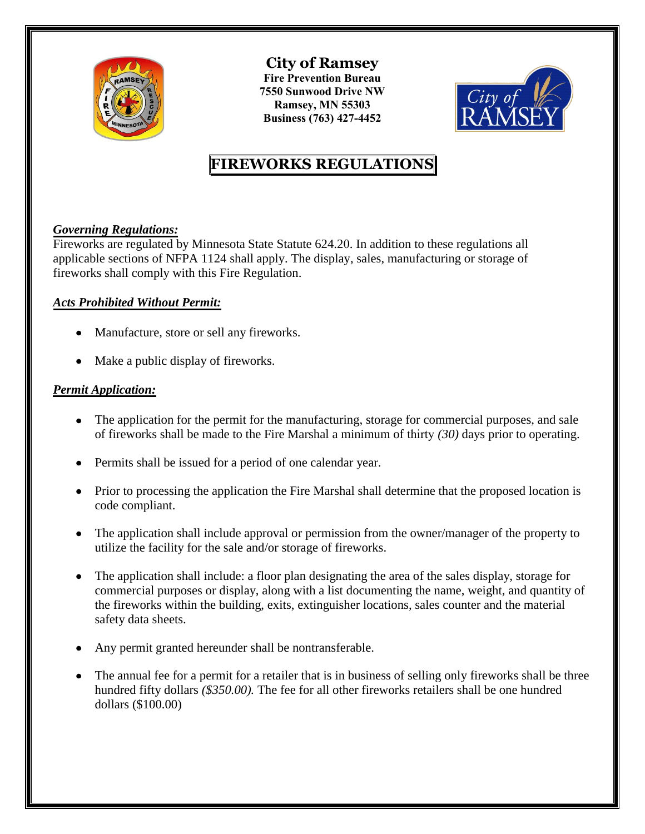

**City of Ramsey Fire Prevention Bureau 7550 Sunwood Drive NW Ramsey, MN 55303 Business (763) 427-4452** 



# **FIREWORKS REGULATIONS**

## *Governing Regulations:*

Fireworks are regulated by Minnesota State Statute 624.20. In addition to these regulations all applicable sections of NFPA 1124 shall apply. The display, sales, manufacturing or storage of fireworks shall comply with this Fire Regulation.

### *Acts Prohibited Without Permit:*

- Manufacture, store or sell any fireworks.
- Make a public display of fireworks.

## *Permit Application:*

- The application for the permit for the manufacturing, storage for commercial purposes, and sale of fireworks shall be made to the Fire Marshal a minimum of thirty *(30)* days prior to operating.
- Permits shall be issued for a period of one calendar year.
- Prior to processing the application the Fire Marshal shall determine that the proposed location is code compliant.
- The application shall include approval or permission from the owner/manager of the property to utilize the facility for the sale and/or storage of fireworks.
- The application shall include: a floor plan designating the area of the sales display, storage for commercial purposes or display, along with a list documenting the name, weight, and quantity of the fireworks within the building, exits, extinguisher locations, sales counter and the material safety data sheets.
- Any permit granted hereunder shall be nontransferable.
- The annual fee for a permit for a retailer that is in business of selling only fireworks shall be three hundred fifty dollars *(\$350.00).* The fee for all other fireworks retailers shall be one hundred dollars (\$100.00)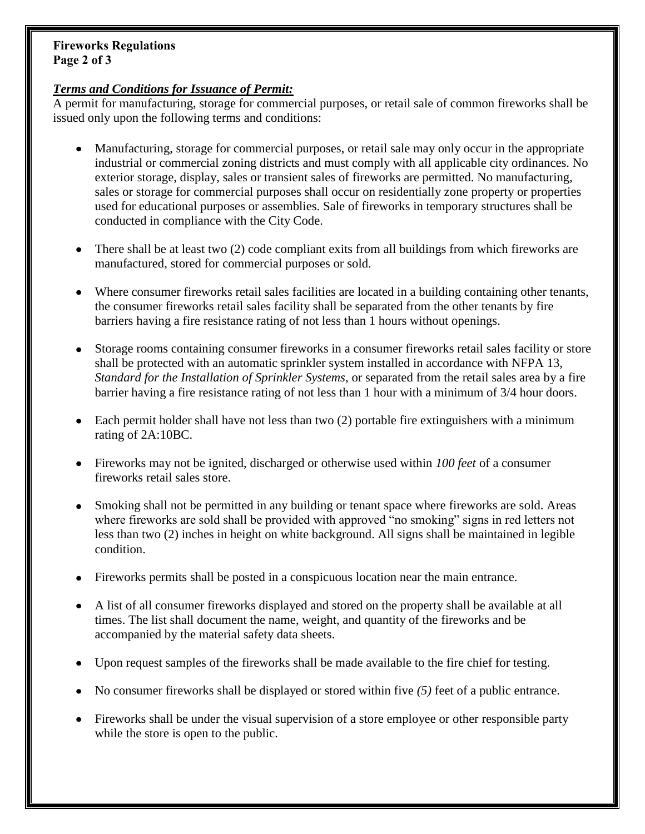#### **Fireworks Regulations Page 2 of 3**

#### *Terms and Conditions for Issuance of Permit:*

A permit for manufacturing, storage for commercial purposes, or retail sale of common fireworks shall be issued only upon the following terms and conditions:

- Manufacturing, storage for commercial purposes, or retail sale may only occur in the appropriate industrial or commercial zoning districts and must comply with all applicable city ordinances. No exterior storage, display, sales or transient sales of fireworks are permitted. No manufacturing, sales or storage for commercial purposes shall occur on residentially zone property or properties used for educational purposes or assemblies. Sale of fireworks in temporary structures shall be conducted in compliance with the City Code.
- There shall be at least two (2) code compliant exits from all buildings from which fireworks are manufactured, stored for commercial purposes or sold.
- Where consumer fireworks retail sales facilities are located in a building containing other tenants, the consumer fireworks retail sales facility shall be separated from the other tenants by fire barriers having a fire resistance rating of not less than 1 hours without openings.
- Storage rooms containing consumer fireworks in a consumer fireworks retail sales facility or store shall be protected with an automatic sprinkler system installed in accordance with NFPA 13, *Standard for the Installation of Sprinkler Systems,* or separated from the retail sales area by a fire barrier having a fire resistance rating of not less than 1 hour with a minimum of 3/4 hour doors.
- Each permit holder shall have not less than two (2) portable fire extinguishers with a minimum rating of 2A:10BC.
- Fireworks may not be ignited, discharged or otherwise used within *100 feet* of a consumer fireworks retail sales store.
- Smoking shall not be permitted in any building or tenant space where fireworks are sold. Areas where fireworks are sold shall be provided with approved "no smoking" signs in red letters not less than two (2) inches in height on white background. All signs shall be maintained in legible condition.
- Fireworks permits shall be posted in a conspicuous location near the main entrance.
- A list of all consumer fireworks displayed and stored on the property shall be available at all times. The list shall document the name, weight, and quantity of the fireworks and be accompanied by the material safety data sheets.
- Upon request samples of the fireworks shall be made available to the fire chief for testing.
- No consumer fireworks shall be displayed or stored within five (5) feet of a public entrance.
- Fireworks shall be under the visual supervision of a store employee or other responsible party while the store is open to the public.